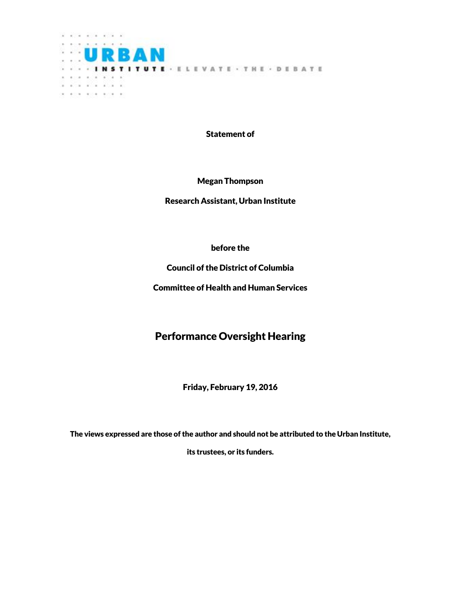

Statement of

Megan Thompson

Research Assistant, Urban Institute

before the

Council of the District of Columbia

Committee of Health and Human Services

# Performance Oversight Hearing

Friday, February 19, 2016

The views expressed are those of the author and should not be attributed to the Urban Institute,

its trustees, or its funders.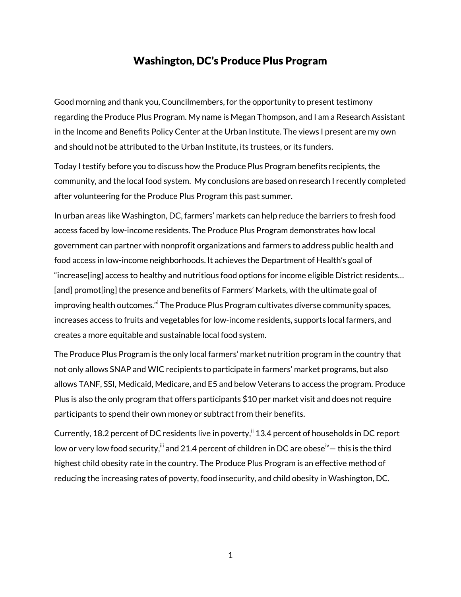#### Washington, DC's Produce Plus Program

Good morning and thank you, Councilmembers, for the opportunity to present testimony regarding the Produce Plus Program. My name is Megan Thompson, and I am a Research Assistant in the Income and Benefits Policy Center at the Urban Institute. The views I present are my own and should not be attributed to the Urban Institute, its trustees, or its funders.

Today I testify before you to discuss how the Produce Plus Program benefits recipients, the community, and the local food system. My conclusions are based on research I recently completed after volunteering for the Produce Plus Program this past summer.

In urban areas like Washington, DC, farmers' markets can help reduce the barriers to fresh food access faced by low-income residents. The Produce Plus Program demonstrates how local government can partner with nonprofit organizations and farmers to address public health and food access in low-income neighborhoods. It achieves the Department of Health's goal of "increase[ing] access to healthy and nutritious food options for income eligible District residents… [and] promot[ing] the presence and benefits of Farmers' Markets, with the ultimate goal of improving health outcomes." The Produce Plus Program cultivates diverse community spaces, increases access to fruits and vegetables for low-income residents, supports local farmers, and creates a more equitable and sustainable local food system.

The Produce Plus Program is the only local farmers' market nutrition program in the country that not only allows SNAP and WIC recipients to participate in farmers' market programs, but also allows TANF, SSI, Medicaid, Medicare, and E5 and below Veterans to access the program. Produce Plus is also the only program that offers participants \$10 per market visit and does not require participants to spend their own money or subtract from their benefits.

Currently, 18.2 percent of DC residents live in poverty,<sup>ii</sup> 13.4 percent of households in DC report low or very low food security, $^{\text{iii}}$  and 21.4 percent of children in DC are obese $^{\text{iv}}-$  this is the third highest child obesity rate in the country. The Produce Plus Program is an effective method of reducing the increasing rates of poverty, food insecurity, and child obesity in Washington, DC.

1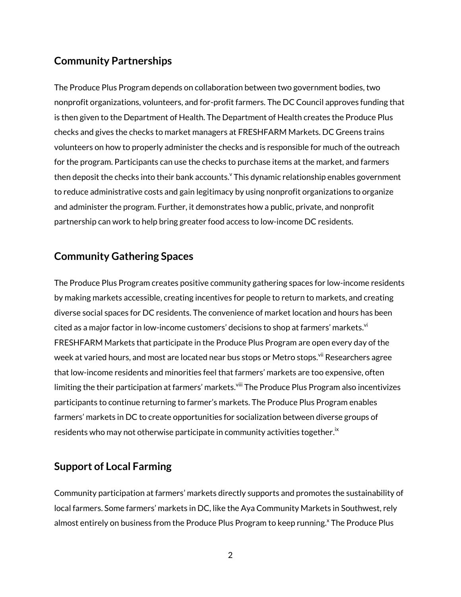## **Community Partnerships**

The Produce Plus Program depends on collaboration between two government bodies, two nonprofit organizations, volunteers, and for-profit farmers. The DC Council approves funding that is then given to the Department of Health. The Department of Health creates the Produce Plus checks and gives the checks to market managers at FRESHFARM Markets. DC Greens trains volunteers on how to properly administer the checks and is responsible for much of the outreach for the program. Participants can use the checks to purchase items at the market, and farmers then deposit the checks into their bank accounts. v This dynamic relationship enables government to reduce administrative costs and gain legitimacy by using nonprofit organizations to organize and administer the program. Further, it demonstrates how a public, private, and nonprofit partnership can work to help bring greater food access to low-income DC residents.

## **Community Gathering Spaces**

The Produce Plus Program creates positive community gathering spaces for low-income residents by making markets accessible, creating incentives for people to return to markets, and creating diverse social spaces for DC residents. The convenience of market location and hours has been cited as a major factor in low-income customers' decisions to shop at farmers' markets.<sup>vi</sup> FRESHFARM Markets that participate in the Produce Plus Program are open every day of the week at varied hours, and most are located near bus stops or Metro stops.<sup>vii</sup> Researchers agree that low-income residents and minorities feel that farmers' markets are too expensive, often limiting the their participation at farmers' markets.<sup>viii</sup> The Produce Plus Program also incentivizes participants to continue returning to farmer's markets. The Produce Plus Program enables farmers' markets in DC to create opportunities for socialization between diverse groups of residents who may not otherwise participate in community activities together. $^{\rm i\varkappa}$ 

#### **Support of Local Farming**

Community participation at farmers' markets directly supports and promotes the sustainability of local farmers. Some farmers' markets in DC, like the Aya Community Markets in Southwest, rely almost entirely on business from the Produce Plus Program to keep running.<sup>x</sup> The Produce Plus

2